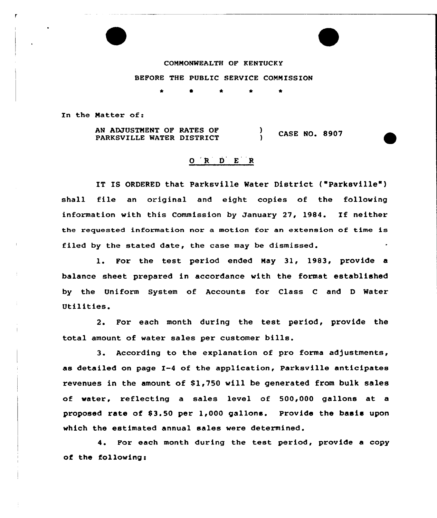COMMONWEALTH OF KENTUCKY BEFORE THE PUBLIC SERVICE COMMISSION

\* \*

In the Natter of:

AN ADJUSTNENT OF RATES OF PARKSVILLE WATER DISTRICT  $\bigg\}$  CASE NO. 8907

## ORDER

IT IS ORDERED that Parksville Water District ("Parksville") shall file an original and eight copies of the following information with this Commission by January 27, 1984. If neither the requested information nor a motion for an extension of time is filed by the stated date, the case may be dismissed.

1. For the test period ended Nay 31, 1983, provide <sup>a</sup> balance sheet prepared in accordance with the format established by the Uniform System of Accounts for Class C and D Water Utilities.

2. For each month during the test period, provide the total amount of water sales per customer bills.

3. According to the explanation of pro forma adjustments, as detailed on page I-4 of the application, Parksville anticipates revenues in the amount of 81,750 will be generated from bulk sales of water, reflecting a sales level of 500,000 gallons at a proposed rate of  $$3.50$  per  $1,000$  gallons. Provide the basis upon which the estimated annual sales were determined.

4. For each month during the test period, provide a copy of the following: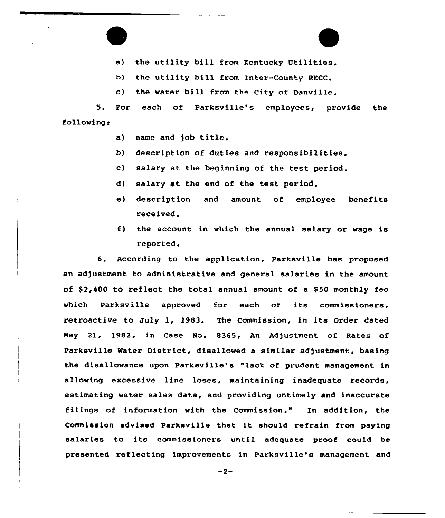

- b) the utility bill from Inter-County RECC.
- c) the water bill from the City of Danville.

5. For each of Parksville's employees, provide the following:

- a) name and job title.
- b) description of duties and responsibilities.
- c) salary at the beginning of the test period.
- d) salary at the end of the test period.
- e) description and amount of employee benefits received.
- f) the account in which the annual salary or wage is reported.

6. According to the application, Parksville has proposed an adjustment to administrative and general salaries in the amount of  $$2,400$  to reflect the total annual amount of a \$50 monthly fee which Parksville approved for each of its commissioners, retroactive to July 1, 1983. The Commission, in its Order dated Nay 21, 1982, in Case No. 8365, An Adjustment of Rates of Parksville Water District, disallowed a similar adjustment, basing the disallowance upon Parksville's "lack of prudent management in allowing excessive line loses, maintaining inadequate records, estimating water sales data, and providing untimely and inaccurate filings of information with the Commission." In addition, the Commission «dvised parksville that it should refrain from paying salaries to its commissioners until adequate proof could be presented reflecting improvements in Parksville's management and

 $-2-$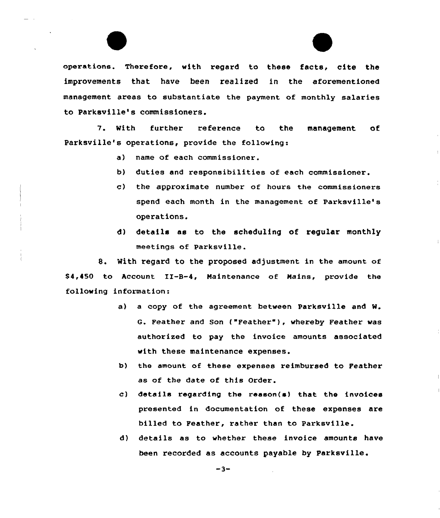operations. Therefore, with regard to these facts, cite the improvements that have been realized in the aforementioned management areas to substantiate the payment of monthly salaries to Parksville's commissioners.

7. With further reference to the management of Parksville's operations, provide the following:

- a) name of each commissioner.
- b) duties and responsibilities of each commissioner.
- c) the approximate number of hours the commissioners spend each month in the management of Parksville's operations.
- d) details as to the scheduling of regular monthly meetings of Parksville.

8. With regard to the proposed adjustment in the amount of \$ 4,450 to Account II-B-4, Maintenance of Mains, provide the following information:

- a) a copy of the agreement between Parksville and W. G. Feather and Son ("Feather" ), whereby Feather was authorized to pay the invoice amounts associated with these maintenance expenses.
- b) the amount of these expenses reimbursed to Feather as of the date of this Order.
- c) details regarding the reason(s) that the invoices presented in documentation of these expenses are billed to Feather, rather than to Parksville.
- d) details as to whether these invoice amounts have been recorded as accounts payable by Parksville.

 $-3-$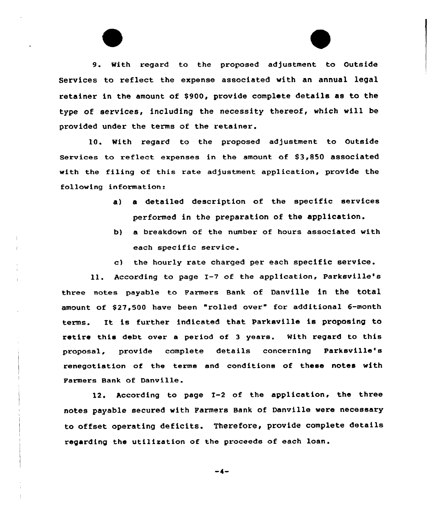9. With regard to the proposed adjustment to Outside Services to reflect the expense assaciated with an annual legal retainer in the amount of \$900, provide complete details as to the type of services, including the necessity thereof, which will be provided under the terms of the retainer.

10. With regard to the prapased adjustment to Outside Services to reflect expenses in the amount of \$3,850 associated with the filing of this rate adjustment application, provide the following information:

- a) <sup>a</sup> detailed description of the specific services performed in the preparation of the application.
- b) a breakdown of the number of hours associated with each specific service.
- c) the hourly rate charged per each specific service.

11. According to page I-7 of the application, Parksville's three notes payable to Farmers Bank of Danville in the total amount of \$27,500 have been "rolled over" for additional 6-month terms. It is further indicated that Parksville is proposing to retire this debt over a period of <sup>3</sup> years. With regard to this proposal, provide complete details concerning Parksvilla's renegotiation of the terms and conditions of these notes with Farmers Bank of Danville.

12. According to page 1-2 of the application, the three notes payable secured with Farmers Bank of Danville were necessary to affset operating deficits. Therefore, provide complete details regarding the utilisation of the proceeds of each loan.

 $-4-$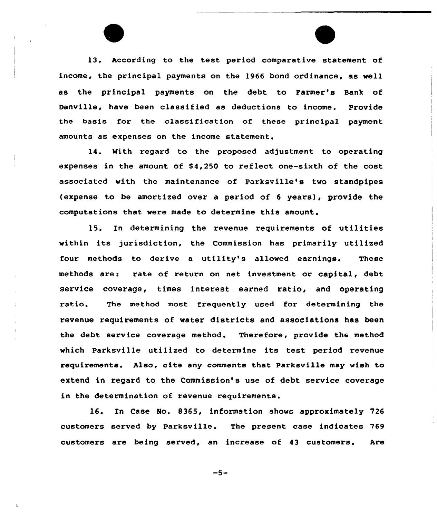13. According to the test period comparative statement of income, the principal payments on the 1966 bond ordinance, as well as the principal payments on the debt to Farmer's Bank of Danville, have been classified as deductions to income. Provide the basis for the classification of these principal payment amounts as expenses on the income statement.

14. With regard to the proposed adjustment to operating expenses in the amount of \$4,250 to reflect one-sixth of the cost associated with the maintenance of Parksville's two standpipes (expense to be amortized over a period of <sup>6</sup> years), provide the computations that were made to determine this amount.

15. In determining the revenue requirements of utilities within its jurisdiction, the Commission has primarily utilized four methods to derive <sup>a</sup> utility's allowed earnings. These methods are: rate of return on net investment or capital, debt service coverage, times interest earned ratio, and operating ratio. The method most frequently used for determining the revenue requirements of water districts and associations has been the debt service coverage method. Therefore, provide the method which Parksville utilized to determine its test period revenue requirements. Also, cite any comments that Parksville may wish to extend in regard to the Commission's use of debt service coverage in the determination of revenue requirements.

16. In Case No. 8365, information shows approximately 726 customers served by Parksville. The present case indicates 769 customers are being served, an increase of 43 customers. Are

 $-5-$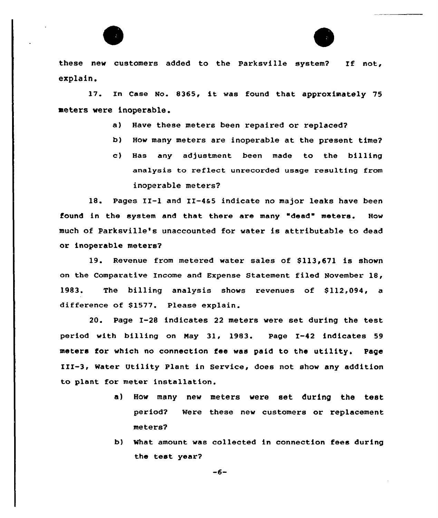

these new customers added to the Parksville system? If not, explain.

17. In Case No. 8365, it was found that approximately <sup>75</sup> meters were inoperable.

- a) Have these meters been repaired or replaced?
- b) How many meters are inoperable at the present time7
- c) Has any adjustment been made to the billing analysis to reflect unrecorded usage resulting from inoperable

18. Pages II-1 and II-4&5 indicate no major leaks have been found in the system and that there are many "dead" meters. How much of Parksville's unaccounted for water is attributable to dead or inoperable

19. Revenue from metered water sales of \$113,671 is shown on the Comparative Income and Expense Statement filed November 18, 1983. The billing analysis shows revenues of \$112,094, a difference of \$1577. Please explain.

20. Page I-28 indicates 22 meters were set during the test period with billing on Nay 31, 1983. Page I-42 indicates 59 meters for which no connection fee was paid to the utility. Page III-3, Water Utility Plant in Service, does not show any addition to plant for meter installation.

- a) How many new meters were set during the test period7 Were these new customers or replacement meters?
- What amount was collected in connection fees during the test year?

 $-6-$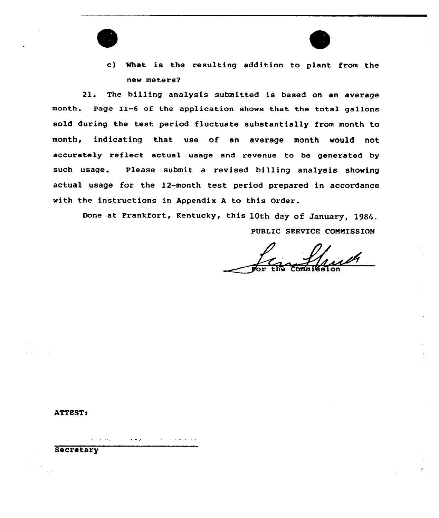

c) What is the resulting addition to plant from the new meters?

21. The billing analysis submitted is based on an average month. Page II-6 of the application shows that the total gallons sold during the test period fluctuate substantially from month to month, indicating that use of an average month would not accurately reflect actual usage and revenue to be generated by such usage. Please submit a revised billing analysis showing actual usage for the 12-month test period prepared in accordance with the instructions in Appendix <sup>A</sup> to this Order.

Done at Frankfort, Kentucky, this 10th day of January, 1984. PUBLIC SERVICE COMMISSION

For the Commission

**ATTEST:** 

**Secretary** 

التواصل والتوارد

المواجد الما

 $\mathcal{A}^{\mathcal{A}}$  and  $\mathcal{A}^{\mathcal{A}}$  and  $\mathcal{A}^{\mathcal{A}}$  and  $\mathcal{A}^{\mathcal{A}}$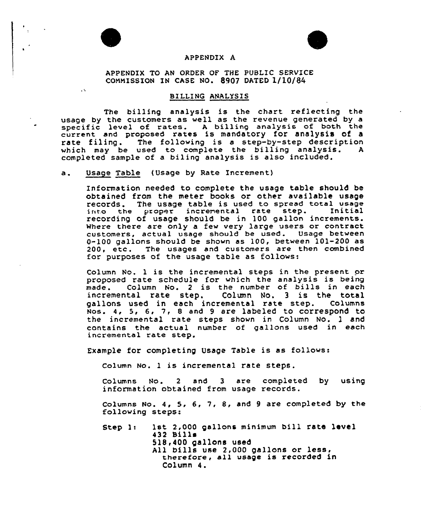

 $\ddot{\phantom{a}}$ 



## APPENDIX A

APPENDIX TO AN ORDER OF THE PUBLIC SERVICE COMMISSION IN CASE NO. &907 DATED 1/10/84

## BILLING ANALYSIS

The billing analysis is the chart reflecting the usage by the customers as well as the revenue generated by a usage by the customers as well as the revenue generated by a<br>specific level of rates. A billing analysis of both the current and proposed rates is mandatory for analysis of a rate filing. The following is a step-by-step description<br>which may be used to complete the billing analysis. A which may be used to complete the billing analysis. completed sample of a bil ing analysis is also included.

a. Usage Table (Usage by Rate Increment)

Information needed to complete the usage table should be obtained from the meter books or other available usage records. The usage table is used to spread total usage<br>into the proper incremental rate step. Initial into the proper incremental rate step. recording of usage should be in 100 gallon increments. where there are only a few very large users or contract customers, actual usage should be used. Usage between 0-100 gallons should be shown as 100, between 101-200 as 200, etc. The usages and customers are then combined for purposes of the usage table as follows:

Column No. <sup>1</sup> is the incremental steps in the present or proposed rate schedule for which the analysis is being<br>made. Column No. 2 is the number of bills in each Column No. 2 is the number of bills in each incremental rate step. Column No. 3 is the total gallons used in each incremental rate step. Columns Nos. 4, 5, 6, 7, 8 and 9 are labeled to correspond to the incremental rate steps shown in Column No. 1 and contains the actual number of gallons used in each incremental rate step.

Exemple for completing Usage Table is as follows:

Column No. 1 is incremental rate steps.

Columns No. <sup>2</sup> and 3 are completed by using information obtained from usage records.

Columns No. 4, 5, 6, 7, 8, and 9 are completed by the following steps:

Step 1: 1st 2, <sup>000</sup> gal lons minimum bill rate level 432 Bills 518,400 gallons used All bills use 2,000 gallons or less, therefore, all usage is recorded in Column 4.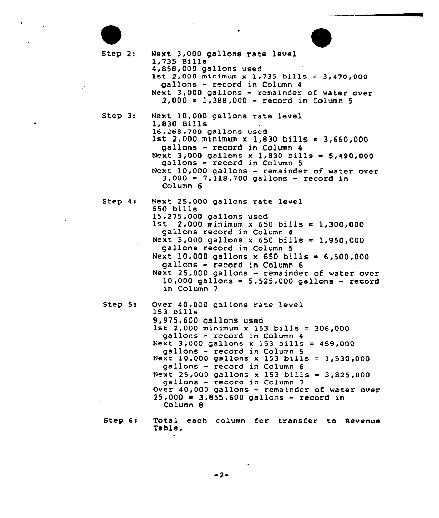Step 2: Next 3,000 gallons rate level<br>1,735 Bills<br>4,858,000 gallons used 1st 2,000 minimum x 1,735 bills = 3,470,000 gallons - record in Column <sup>4</sup> Next 3,000 gallons — remainder of water over  $2,000 = 1,388,000 - record in Column 5$ Step  $3:$ Next 10,000 gallons rate level **1,830 Bills**<br>16,268,700 gallons used  $1$ st 2,000 minimum x 1,830 bills  $= 3,660,000$ gallons - record in Column <sup>4</sup> Next 3,000 gallons x 1,830 bills =  $5,490,000$  gallons - record in Column 5 Next  $10,000$  gallons - remainder of water over<br>3,000 = 7,118,700 gallons - record in Col umn 6 Step 4: Next 25,000 gallons rate level 650 bills<br>15,275,000 gallons used  $1$ st 2,000 minimum x 650 bills = 1,300,000 gallons record in Column <sup>4</sup> Next 3,000 gallons x 650 bills = 1,950,000 gallons record in Column 5 Next 10,000 gallons x 650 bills =  $6,500,000$ gallons - record in Column <sup>6</sup> Next 25,000 gallons - remainder of water over  $10,000$  gallons = 5, 525, 000 gallons - record in Column 7 Step 5: Over 40,000 gallons rate level 153 bills<br>9,975,600 gallons used 1st 2,000 minimum x 153 bills =  $306,000$  gallons - record in Column 4 Next  $3,000$  gallons  $\times$  153 bills = 459,000 gallons - record in Column 5 Next 10,000 gallons <sup>x</sup> 153 bills <sup>=</sup> l,530<000 gallons - record in Column <sup>6</sup> Next 25,000 gallons x 153 bills =  $3,825,000$  gallons - record in Column 7 Over 40,000 gallons — remainder of water over  $25,000 = 3,855,600$  gallons - record in Column 8

 $\sim$   $\sim$ 

Step 6: Total each column for transfer to Revenue Table.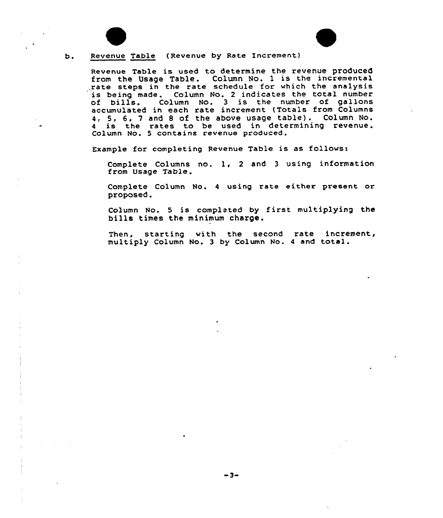

 $b.$ 



Revenue Table is used to determine the revenue produced from the Usage Table. Column No. 1 is the incremental rate steps in the rate schedule for which the analysi is being made. Column No. <sup>2</sup> indicates the total number cf bills. Column No. <sup>3</sup> is the number of gallons accumulated in each rate increment (Totals from Columns 4, 5, 6, <sup>7</sup> and <sup>8</sup> of the above usage table) . Column No. <sup>4</sup> is the rates to be used in determining revenue. Column No. 5 contains revenue produced.

Example for completing Revenue Table is as follows:

Complete Columns no. 1, 2 and 3 using information<br>from Usage Table.

Complete Column No. <sup>4</sup> using rate either present. or proposed.

Column No. 5 is completed by first multiplying the bills times the minimum charge.

Then, starting with the second rate increment, multiply Column No. <sup>3</sup> by Column No. <sup>4</sup> and total.